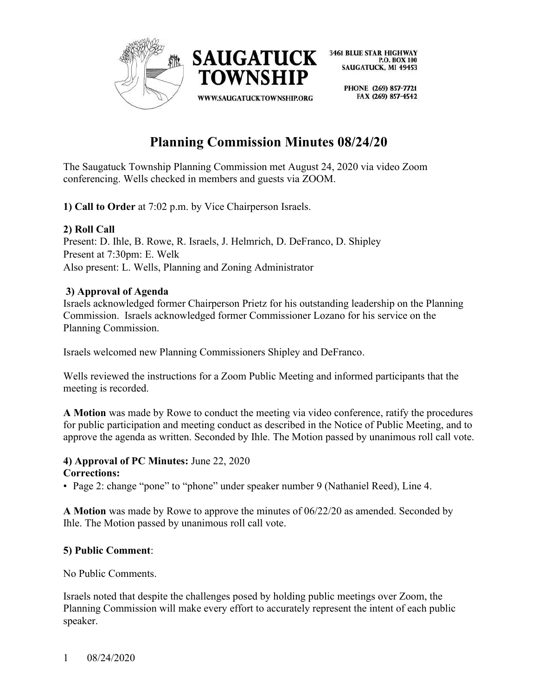

> PHONE (269) 857-7721 FAX (269) 857-4542

# **Planning Commission Minutes 08/24/20**

The Saugatuck Township Planning Commission met August 24, 2020 via video Zoom conferencing. Wells checked in members and guests via ZOOM.

**1) Call to Order** at 7:02 p.m. by Vice Chairperson Israels.

## **2) Roll Call**

Present: D. Ihle, B. Rowe, R. Israels, J. Helmrich, D. DeFranco, D. Shipley Present at 7:30pm: E. Welk Also present: L. Wells, Planning and Zoning Administrator

### **3) Approval of Agenda**

Israels acknowledged former Chairperson Prietz for his outstanding leadership on the Planning Commission. Israels acknowledged former Commissioner Lozano for his service on the Planning Commission.

Israels welcomed new Planning Commissioners Shipley and DeFranco.

Wells reviewed the instructions for a Zoom Public Meeting and informed participants that the meeting is recorded.

**A Motion** was made by Rowe to conduct the meeting via video conference, ratify the procedures for public participation and meeting conduct as described in the Notice of Public Meeting, and to approve the agenda as written. Seconded by Ihle. The Motion passed by unanimous roll call vote.

#### **4) Approval of PC Minutes:** June 22, 2020 **Corrections:**

• Page 2: change "pone" to "phone" under speaker number 9 (Nathaniel Reed), Line 4.

**A Motion** was made by Rowe to approve the minutes of 06/22/20 as amended. Seconded by Ihle. The Motion passed by unanimous roll call vote.

### **5) Public Comment**:

No Public Comments.

Israels noted that despite the challenges posed by holding public meetings over Zoom, the Planning Commission will make every effort to accurately represent the intent of each public speaker.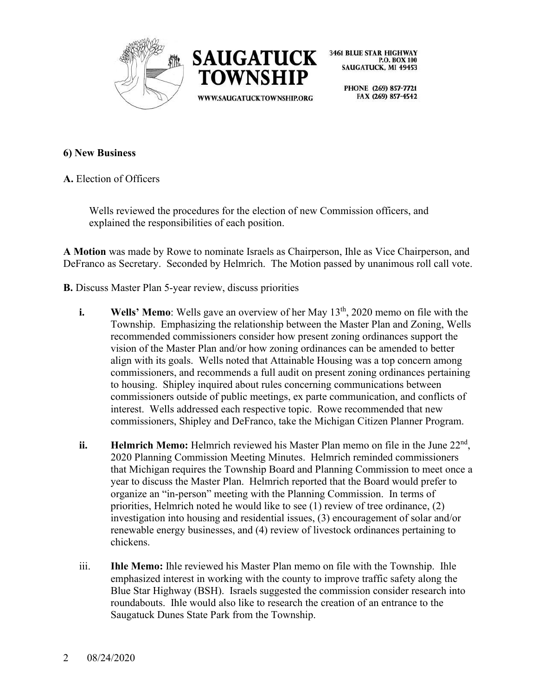



> PHONE (269) 857-7721 FAX (269) 857-4542

### **6) New Business**

**A.** Election of Officers

Wells reviewed the procedures for the election of new Commission officers, and explained the responsibilities of each position.

**A Motion** was made by Rowe to nominate Israels as Chairperson, Ihle as Vice Chairperson, and DeFranco as Secretary. Seconded by Helmrich. The Motion passed by unanimous roll call vote.

- **B.** Discuss Master Plan 5-year review, discuss priorities
	- **i. Wells' Memo**: Wells gave an overview of her May 13<sup>th</sup>, 2020 memo on file with the Township. Emphasizing the relationship between the Master Plan and Zoning, Wells recommended commissioners consider how present zoning ordinances support the vision of the Master Plan and/or how zoning ordinances can be amended to better align with its goals. Wells noted that Attainable Housing was a top concern among commissioners, and recommends a full audit on present zoning ordinances pertaining to housing. Shipley inquired about rules concerning communications between commissioners outside of public meetings, ex parte communication, and conflicts of interest. Wells addressed each respective topic. Rowe recommended that new commissioners, Shipley and DeFranco, take the Michigan Citizen Planner Program.
	- ii. **Helmrich Memo:** Helmrich reviewed his Master Plan memo on file in the June 22<sup>nd</sup>, 2020 Planning Commission Meeting Minutes. Helmrich reminded commissioners that Michigan requires the Township Board and Planning Commission to meet once a year to discuss the Master Plan. Helmrich reported that the Board would prefer to organize an "in-person" meeting with the Planning Commission. In terms of priorities, Helmrich noted he would like to see (1) review of tree ordinance, (2) investigation into housing and residential issues, (3) encouragement of solar and/or renewable energy businesses, and (4) review of livestock ordinances pertaining to chickens.
	- iii. **Ihle Memo:** Ihle reviewed his Master Plan memo on file with the Township. Ihle emphasized interest in working with the county to improve traffic safety along the Blue Star Highway (BSH). Israels suggested the commission consider research into roundabouts. Ihle would also like to research the creation of an entrance to the Saugatuck Dunes State Park from the Township.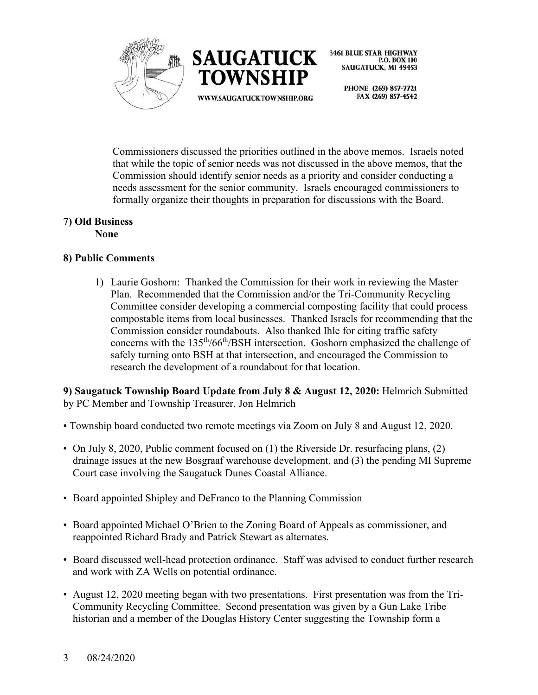



> PHONE (269) 857-7721 FAX (269) 857-4542

Commissioners discussed the priorities outlined in the above memos. Israels noted that while the topic of senior needs was not discussed in the above memos, that the Commission should identify senior needs as a priority and consider conducting a needs assessment for the senior community. Israels encouraged commissioners to formally organize their thoughts in preparation for discussions with the Board.

#### **7) Old Business None**

# **8) Public Comments**

1) Laurie Goshorn: Thanked the Commission for their work in reviewing the Master Plan. Recommended that the Commission and/or the Tri-Community Recycling Committee consider developing a commercial composting facility that could process compostable items from local businesses. Thanked Israels for recommending that the Commission consider roundabouts. Also thanked Ihle for citing traffic safety concerns with the  $135<sup>th</sup>/66<sup>th</sup>/BSH$  intersection. Goshorn emphasized the challenge of safely turning onto BSH at that intersection, and encouraged the Commission to research the development of a roundabout for that location.

**9) Saugatuck Township Board Update from July 8 & August 12, 2020:** Helmrich Submitted by PC Member and Township Treasurer, Jon Helmrich

- Township board conducted two remote meetings via Zoom on July 8 and August 12, 2020.
- On July 8, 2020, Public comment focused on (1) the Riverside Dr. resurfacing plans, (2) drainage issues at the new Bosgraaf warehouse development, and (3) the pending MI Supreme Court case involving the Saugatuck Dunes Coastal Alliance.
- Board appointed Shipley and DeFranco to the Planning Commission
- Board appointed Michael O'Brien to the Zoning Board of Appeals as commissioner, and reappointed Richard Brady and Patrick Stewart as alternates.
- Board discussed well-head protection ordinance. Staff was advised to conduct further research and work with ZA Wells on potential ordinance.
- August 12, 2020 meeting began with two presentations. First presentation was from the Tri-Community Recycling Committee. Second presentation was given by a Gun Lake Tribe historian and a member of the Douglas History Center suggesting the Township form a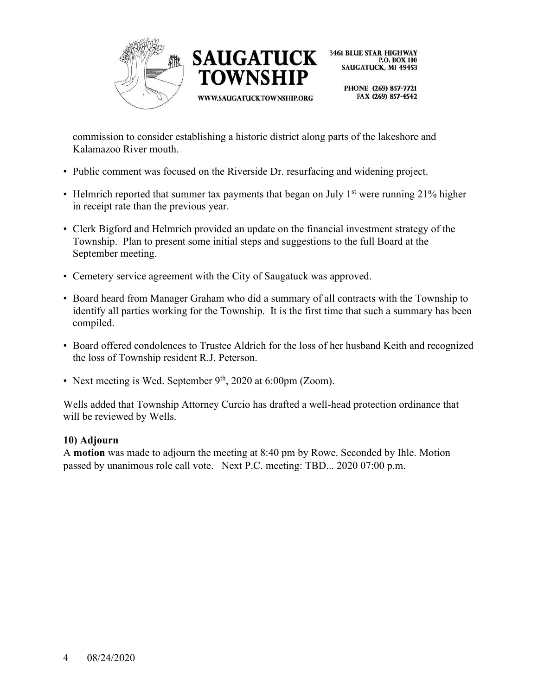



> PHONE (269) 857-7721 FAX (269) 857-4542

commission to consider establishing a historic district along parts of the lakeshore and Kalamazoo River mouth.

- Public comment was focused on the Riverside Dr. resurfacing and widening project.
- Helmrich reported that summer tax payments that began on July  $1<sup>st</sup>$  were running 21% higher in receipt rate than the previous year.
- Clerk Bigford and Helmrich provided an update on the financial investment strategy of the Township. Plan to present some initial steps and suggestions to the full Board at the September meeting.
- Cemetery service agreement with the City of Saugatuck was approved.
- Board heard from Manager Graham who did a summary of all contracts with the Township to identify all parties working for the Township. It is the first time that such a summary has been compiled.
- Board offered condolences to Trustee Aldrich for the loss of her husband Keith and recognized the loss of Township resident R.J. Peterson.
- Next meeting is Wed. September  $9<sup>th</sup>$ , 2020 at 6:00pm (Zoom).

Wells added that Township Attorney Curcio has drafted a well-head protection ordinance that will be reviewed by Wells.

### **10) Adjourn**

A **motion** was made to adjourn the meeting at 8:40 pm by Rowe. Seconded by Ihle. Motion passed by unanimous role call vote. Next P.C. meeting: TBD... 2020 07:00 p.m.